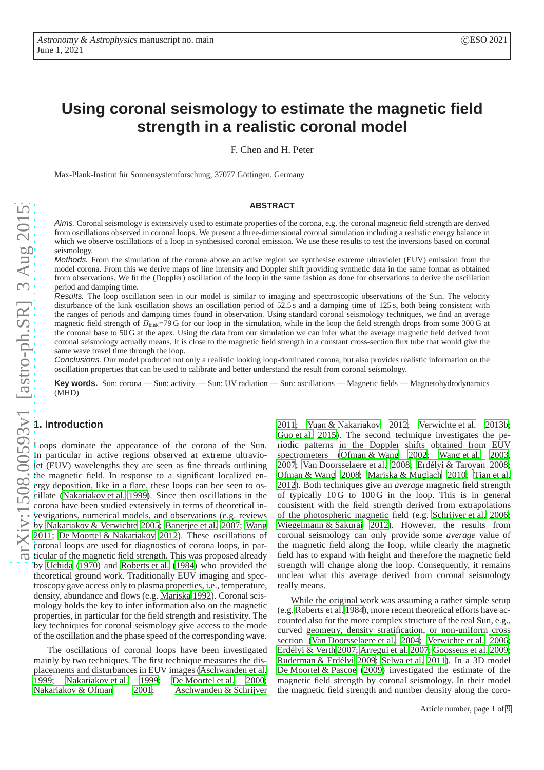# **Using coronal seismology to estimate the magnetic field strength in a realistic coronal model**

F. Chen and H. Peter

Max-Plank-Institut für Sonnensystemforschung, 37077 Göttingen, Germany

#### **ABSTRACT**

Aims. Coronal seismology is extensively used to estimate properties of the corona, e.g. the coronal magnetic field strength are derived from oscillations observed in coronal loops. We present a three-dimensional coronal simulation including a realistic energy balance in which we observe oscillations of a loop in synthesised coronal emission. We use these results to test the inversions based on coronal seismology.

Methods. From the simulation of the corona above an active region we synthesise extreme ultraviolet (EUV) emission from the model corona. From this we derive maps of line intensity and Doppler shift providing synthetic data in the same format as obtained from observations. We fit the (Doppler) oscillation of the loop in the same fashion as done for observations to derive the oscillation period and damping time.

Results. The loop oscillation seen in our model is similar to imaging and spectroscopic observations of the Sun. The velocity disturbance of the kink oscillation shows an oscillation period of 52.5 s and a damping time of 125 s, both being consistent with the ranges of periods and damping times found in observation. Using standard coronal seismology techniques, we find an average magnetic field strength of  $B_{\text{kin}}=79$  G for our loop in the simulation, while in the loop the field strength drops from some 300 G at the coronal base to 50 G at the apex. Using the data from our simulation we can infer what the average magnetic field derived from coronal seismology actually means. It is close to the magnetic field strength in a constant cross-section flux tube that would give the same wave travel time through the loop.

Conclusions. Our model produced not only a realistic looking loop-dominated corona, but also provides realistic information on the oscillation properties that can be used to calibrate and better understand the result from coronal seismology.

Key words. Sun: corona — Sun: activity — Sun: UV radiation — Sun: oscillations — Magnetic fields — Magnetohydrodynamics (MHD)

# **1. Introduction**

Loops dominate the appearance of the corona of the Sun. In particular in active regions observed at extreme ultraviolet (EUV) wavelengths they are seen as fine threads outlining the magnetic field. In response to a significant localized energy deposition, like in a flare, these loops can bee seen to oscillate [\(Nakariakov et al. 1999\)](#page-8-0). Since then oscillations in the corona have been studied extensively in terms of theoretical investigations, numerical models, and observations (e.g. reviews by [Nakariakov & Verwichte 2005](#page-8-1); [Banerjee et al. 2007](#page-8-2); [Wang](#page-8-3) [2011;](#page-8-3) [De Moortel & Nakariakov 2012\)](#page-8-4). These oscillations of coronal loops are used for diagnostics of corona loops, in particular of the magnetic field strength. This was proposed already by [Uchida](#page-8-5) [\(1970\)](#page-8-5) and [Roberts et al. \(1984\)](#page-8-6) who provided the theoretical ground work. Traditionally EUV imaging and spectroscopy gave access only to plasma properties, i.e., temperature, density, abundance and flows (e.g. [Mariska 1992\)](#page-8-7). Coronal seismology holds the key to infer information also on the magnetic properties, in particular for the field strength and resistivity. The key techniques for coronal seismology give access to the mode of the oscillation and the phase speed of the corresponding wave.

The oscillations of coronal loops have been investigated mainly by two techniques. The first technique measures the displacements and disturbances in EUV images [\(Aschwanden et al.](#page-8-8) [1999;](#page-8-8) [Nakariakov et al. 1999](#page-8-0); [De Moortel et al. 2000](#page-8-9); [Nakariakov & Ofman 2001](#page-8-10); [Aschwanden & Schrijver](#page-8-11)

[2011;](#page-8-11) [Yuan & Nakariakov 2012;](#page-8-12) [Verwichte et al. 2013b;](#page-8-13) [Guo et al. 2015\)](#page-8-14). The second technique investigates the periodic patterns in the Doppler shifts obtained from EUV spectrometers [\(Ofman & Wang 2002;](#page-8-15) [Wang et al. 2003,](#page-8-16) [2007;](#page-8-17) [Van Doorsselaere et al. 2008](#page-8-18); [Erdélyi & Taroyan 2008;](#page-8-19) [Ofman & Wang 2008](#page-8-20); [Mariska & Muglach 2010;](#page-8-21) [Tian et al.](#page-8-22) [2012\)](#page-8-22). Both techniques give an *average* magnetic field strength of typically  $10G$  to  $100G$  in the loop. This is in general consistent with the field strength derived from extrapolations of the photospheric magnetic field (e.g. [Schrijver et al. 2006;](#page-8-23) [Wiegelmann & Sakurai 2012\)](#page-8-24). However, the results from coronal seismology can only provide some *average* value of the magnetic field along the loop, while clearly the magnetic field has to expand with height and therefore the magnetic field strength will change along the loop. Consequently, it remains unclear what this average derived from coronal seismology really means.

While the original work was assuming a rather simple setup (e.g. [Roberts et al. 1984\)](#page-8-6), more recent theoretical efforts have accounted also for the more complex structure of the real Sun, e.g., curved geometry, density stratification, or non-uniform cross section [\(Van Doorsselaere et al. 2004;](#page-8-25) [Verwichte et al. 2006;](#page-8-26) [Erdélyi & Verth 2007](#page-8-27); [Arregui et al. 2007;](#page-8-28) [Goossens et al. 2009;](#page-8-29) [Ruderman & Erdélyi 2009;](#page-8-30) [Selwa et al. 2011](#page-8-31)). In a 3D model [De Moortel & Pascoe \(2009\)](#page-8-32) investigated the estimate of the magnetic field strength by coronal seismology. In their model the magnetic field strength and number density along the coro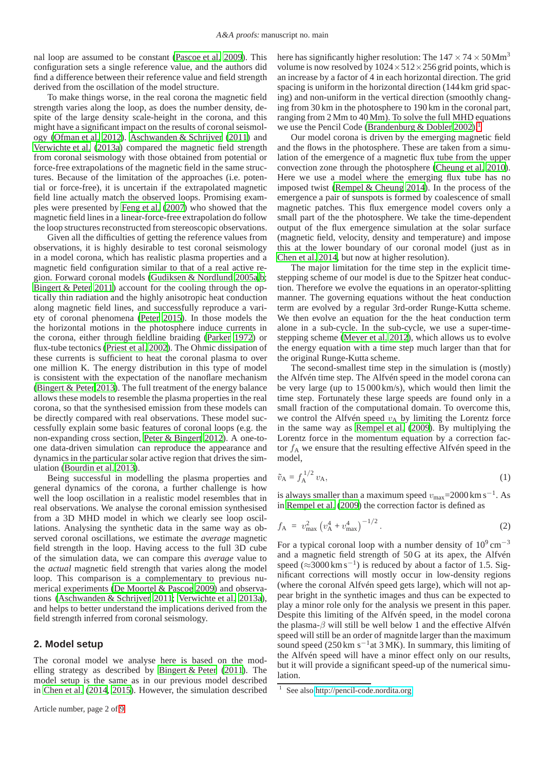nal loop are assumed to be constant [\(Pascoe et al. 2009\)](#page-8-33). This configuration sets a single reference value, and the authors did find a difference between their reference value and field strength derived from the oscillation of the model structure.

To make things worse, in the real corona the magnetic field strength varies along the loop, as does the number density, despite of the large density scale-height in the corona, and this might have a significant impact on the results of coronal seismology [\(Ofman et al. 2012\)](#page-8-34). [Aschwanden & Schrijver \(2011](#page-8-11)) and [Verwichte et al. \(2013a\)](#page-8-35) compared the magnetic field strength from coronal seismology with those obtained from potential or force-free extrapolations of the magnetic field in the same structures. Because of the limitation of the approaches (i.e. potential or force-free), it is uncertain if the extrapolated magnetic field line actually match the observed loops. Promising examples were presented by [Feng et al.](#page-8-36) [\(2007\)](#page-8-36) who showed that the magnetic field lines in a linear-force-free extrapolation do follow the loop structures reconstructed from stereoscopic observations.

Given all the difficulties of getting the reference values from observations, it is highly desirable to test coronal seismology in a model corona, which has realistic plasma properties and a magnetic field configuration similar to that of a real active region. Forward coronal models [\(Gudiksen & Nordlund 2005a](#page-8-37)[,b](#page-8-38); [Bingert & Peter 2011\)](#page-8-39) account for the cooling through the optically thin radiation and the highly anisotropic heat conduction along magnetic field lines, and successfully reproduce a variety of coronal phenomena [\(Peter 2015\)](#page-8-40). In those models the the horizontal motions in the photosphere induce currents in the corona, either through fieldline braiding [\(Parker 1972](#page-8-41)) or flux-tube tectonics [\(Priest et al. 2002\)](#page-8-42). The Ohmic dissipation of these currents is sufficient to heat the coronal plasma to over one million K. The energy distribution in this type of model is consistent with the expectation of the nanoflare mechanism [\(Bingert & Peter 2013\)](#page-8-43). The full treatment of the energy balance allows these models to resemble the plasma properties in the real corona, so that the synthesised emission from these models can be directly compared with real observations. These model successfully explain some basic features of coronal loops (e.g. the non-expanding cross section, [Peter & Bingert 2012\)](#page-8-44). A one-toone data-driven simulation can reproduce the appearance and dynamics in the particular solar active region that drives the simulation [\(Bourdin et al. 2013](#page-8-45)).

Being successful in modelling the plasma properties and general dynamics of the corona, a further challenge is how well the loop oscillation in a realistic model resembles that in real observations. We analyse the coronal emission synthesised from a 3D MHD model in which we clearly see loop oscillations. Analysing the synthetic data in the same way as observed coronal oscillations, we estimate the *average* magnetic field strength in the loop. Having access to the full 3D cube of the simulation data, we can compare this *average* value to the *actual* magnetic field strength that varies along the model loop. This comparison is a complementary to previous numerical experiments [\(De Moortel & Pascoe 2009](#page-8-32)) and observations [\(Aschwanden & Schrijver 2011;](#page-8-11) [Verwichte et al. 2013a](#page-8-35)), and helps to better understand the implications derived from the field strength inferred from coronal seismology.

## <span id="page-1-2"></span>**2. Model setup**

The coronal model we analyse here is based on the modelling strategy as described by [Bingert & Peter](#page-8-39) [\(2011\)](#page-8-39). The model setup is the same as in our previous model described in [Chen et al. \(2014](#page-8-46), [2015\)](#page-8-47). However, the simulation described here has significantly higher resolution: The  $147 \times 74 \times 50$  Mm<sup>3</sup> volume is now resolved by  $1024 \times 512 \times 256$  grid points, which is an increase by a factor of 4 in each horizontal direction. The grid spacing is uniform in the horizontal direction (144 km grid spacing) and non-uniform in the vertical direction (smoothly changing from 30 km in the photosphere to 190 km in the coronal part, ranging from 2 Mm to 40 Mm). To solve the full MHD equations we use the Pencil Code [\(Brandenburg & Dobler 2002\)](#page-8-48).<sup>[1](#page-1-0)</sup>

Our model corona is driven by the emerging magnetic field and the flows in the photosphere. These are taken from a simulation of the emergence of a magnetic flux tube from the upper convection zone through the photosphere [\(Cheung et al. 2010\)](#page-8-49). Here we use a model where the emerging flux tube has no imposed twist [\(Rempel & Cheung 2014\)](#page-8-50). In the process of the emergence a pair of sunspots is formed by coalescence of small magnetic patches. This flux emergence model covers only a small part of the the photosphere. We take the time-dependent output of the flux emergence simulation at the solar surface (magnetic field, velocity, density and temperature) and impose this at the lower boundary of our coronal model (just as in [Chen et al. 2014,](#page-8-46) but now at higher resolution).

The major limitation for the time step in the explicit timestepping scheme of our model is due to the Spitzer heat conduction. Therefore we evolve the equations in an operator-splitting manner. The governing equations without the heat conduction term are evolved by a regular 3rd-order Runge-Kutta scheme. We then evolve an equation for the the heat conduction term alone in a sub-cycle. In the sub-cycle, we use a super-timestepping scheme [\(Meyer et al. 2012](#page-8-51)), which allows us to evolve the energy equation with a time step much larger than that for the original Runge-Kutta scheme.

The second-smallest time step in the simulation is (mostly) the Alfvén time step. The Alfvén speed in the model corona can be very large (up to 15 000 km/s), which would then limit the time step. Fortunately these large speeds are found only in a small fraction of the computational domain. To overcome this, we control the Alfvén speed  $v_A$  by limiting the Lorentz force in the same way as [Rempel et al. \(2009\)](#page-8-52). By multiplying the Lorentz force in the momentum equation by a correction factor  $f_A$  we ensure that the resulting effective Alfvén speed in the model,

<span id="page-1-1"></span>
$$
\tilde{v}_{A} = f_{A}^{1/2} v_{A},\tag{1}
$$

is always smaller than a maximum speed  $v_{\text{max}}$ =2000 km s<sup>-1</sup>. As in [Rempel et al. \(2009](#page-8-52)) the correction factor is defined as

$$
f_{\rm A} = v_{\rm max}^2 \left( v_{\rm A}^4 + v_{\rm max}^4 \right)^{-1/2} . \tag{2}
$$

For a typical coronal loop with a number density of  $10^9 \text{ cm}^{-3}$ and a magnetic field strength of 50 G at its apex, the Alfvén speed ( $\approx$ 3000 km s<sup>-1</sup>) is reduced by about a factor of 1.5. Significant corrections will mostly occur in low-density regions (where the coronal Alfvén speed gets large), which will not appear bright in the synthetic images and thus can be expected to play a minor role only for the analysis we present in this paper. Despite this limiting of the Alfvén speed, in the model corona the plasma- $\beta$  will still be well below 1 and the effective Alfvén speed will still be an order of magnitde larger than the maximum sound speed (250 km s<sup>-1</sup>at 3 MK). In summary, this limiting of the Alfvén speed will have a minor effect only on our results, but it will provide a significant speed-up of the numerical simulation.

<span id="page-1-0"></span><sup>&</sup>lt;sup>1</sup> See also [http://pencil-code.nordita.org.](http://pencil-code.nordita.org)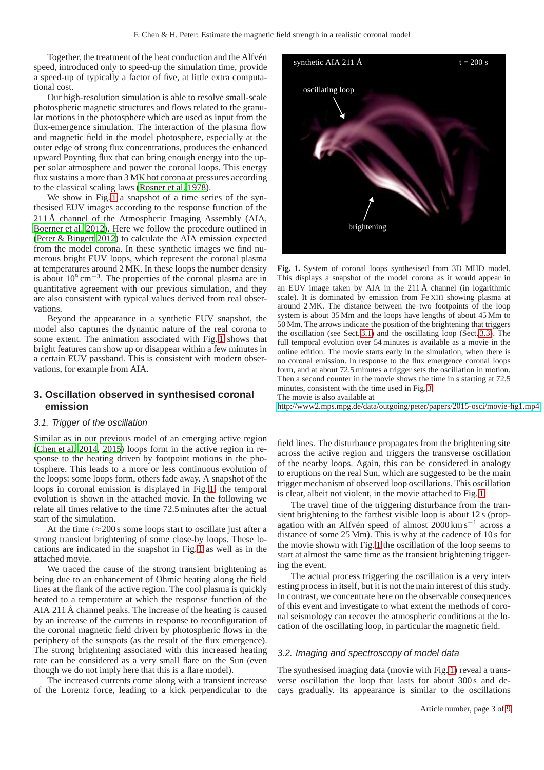Together, the treatment of the heat conduction and the Alfvén speed, introduced only to speed-up the simulation time, provide a speed-up of typically a factor of five, at little extra computational cost.

Our high-resolution simulation is able to resolve small-scale photospheric magnetic structures and flows related to the granular motions in the photosphere which are used as input from the flux-emergence simulation. The interaction of the plasma flow and magnetic field in the model photosphere, especially at the outer edge of strong flux concentrations, produces the enhanced upward Poynting flux that can bring enough energy into the upper solar atmosphere and power the coronal loops. This energy flux sustains a more than 3 MK hot corona at pressures according to the classical scaling laws [\(Rosner et al. 1978](#page-8-53)).

We show in Fig. [1](#page-2-0) a snapshot of a time series of the synthesised EUV images according to the response function of the 211 Å channel of the Atmospheric Imaging Assembly (AIA, [Boerner et al. 2012](#page-8-54)). Here we follow the procedure outlined in [\(Peter & Bingert 2012](#page-8-44)) to calculate the AIA emission expected from the model corona. In these synthetic images we find numerous bright EUV loops, which represent the coronal plasma at temperatures around 2 MK. In these loops the number density is about  $10^9 \text{ cm}^{-3}$ . The properties of the coronal plasma are in quantitative agreement with our previous simulation, and they are also consistent with typical values derived from real observations.

Beyond the appearance in a synthetic EUV snapshot, the model also captures the dynamic nature of the real corona to some extent. The animation associated with Fig. [1](#page-2-0) shows that bright features can show up or disappear within a few minutes in a certain EUV passband. This is consistent with modern observations, for example from AIA.

## **3. Oscillation observed in synthesised coronal emission**

#### <span id="page-2-1"></span>3.1. Trigger of the oscillation

Similar as in our previous model of an emerging active region [\(Chen et al. 2014,](#page-8-46) [2015\)](#page-8-47) loops form in the active region in response to the heating driven by footpoint motions in the photosphere. This leads to a more or less continuous evolution of the loops: some loops form, others fade away. A snapshot of the loops in coronal emission is displayed in Fig. [1,](#page-2-0) the temporal evolution is shown in the attached movie. In the following we relate all times relative to the time 72.5 minutes after the actual start of the simulation.

At the time  $t \approx 200$  s some loops start to oscillate just after a strong transient brightening of some close-by loops. These locations are indicated in the snapshot in Fig. [1](#page-2-0) as well as in the attached movie.

We traced the cause of the strong transient brightening as being due to an enhancement of Ohmic heating along the field lines at the flank of the active region. The cool plasma is quickly heated to a temperature at which the response function of the AIA 211 Å channel peaks. The increase of the heating is caused by an increase of the currents in response to reconfiguration of the coronal magnetic field driven by photospheric flows in the periphery of the sunspots (as the result of the flux emergence). The strong brightening associated with this increased heating rate can be considered as a very small flare on the Sun (even though we do not imply here that this is a flare model).

The increased currents come along with a transient increase of the Lorentz force, leading to a kick perpendicular to the



<span id="page-2-0"></span>**Fig. 1.** System of coronal loops synthesised from 3D MHD model. This displays a snapshot of the model corona as it would appear in an EUV image taken by AIA in the 211 Å channel (in logarithmic scale). It is dominated by emission from Fe XIII showing plasma at around 2 MK. The distance between the two footpoints of the loop system is about 35 Mm and the loops have lengths of about 45 Mm to 50 Mm. The arrows indicate the position of the brightening that triggers the oscillation (see Sect. [3.1\)](#page-2-1) and the oscillating loop (Sect. [3.3\)](#page-3-0). The full temporal evolution over 54 minutes is available as a movie in the online edition. The movie starts early in the simulation, when there is no coronal emission. In response to the flux emergence coronal loops form, and at about 72.5 minutes a trigger sets the oscillation in motion. Then a second counter in the movie shows the time in s starting at 72.5 minutes, consistent with the time used in Fig[. 3.](#page-4-0) The movie is also available at

[http://www2.mps.mpg.de/data/outgoing/peter/papers/2015-osci/movie-fig1.mp4.](http://www2.mps.mpg.de/data/outgoing/peter/papers/2015-osci/movie-fig1.mp4)

field lines. The disturbance propagates from the brightening site across the active region and triggers the transverse oscillation of the nearby loops. Again, this can be considered in analogy to eruptions on the real Sun, which are suggested to be the main trigger mechanism of observed loop oscillations. This oscillation is clear, albeit not violent, in the movie attached to Fig. [1.](#page-2-0)

The travel time of the triggering disturbance from the transient brightening to the farthest visible loop is about 12 s (propagation with an Alfvén speed of almost 2000 km s−<sup>1</sup> across a distance of some 25 Mm). This is why at the cadence of 10 s for the movie shown with Fig. [1](#page-2-0) the oscillation of the loop seems to start at almost the same time as the transient brightening triggering the event.

The actual process triggering the oscillation is a very interesting process in itself, but it is not the main interest of this study. In contrast, we concentrate here on the observable consequences of this event and investigate to what extent the methods of coronal seismology can recover the atmospheric conditions at the location of the oscillating loop, in particular the magnetic field.

#### <span id="page-2-2"></span>3.2. Imaging and spectroscopy of model data

The synthesised imaging data (movie with Fig. [1\)](#page-2-0) reveal a transverse oscillation the loop that lasts for about 300 s and decays gradually. Its appearance is similar to the oscillations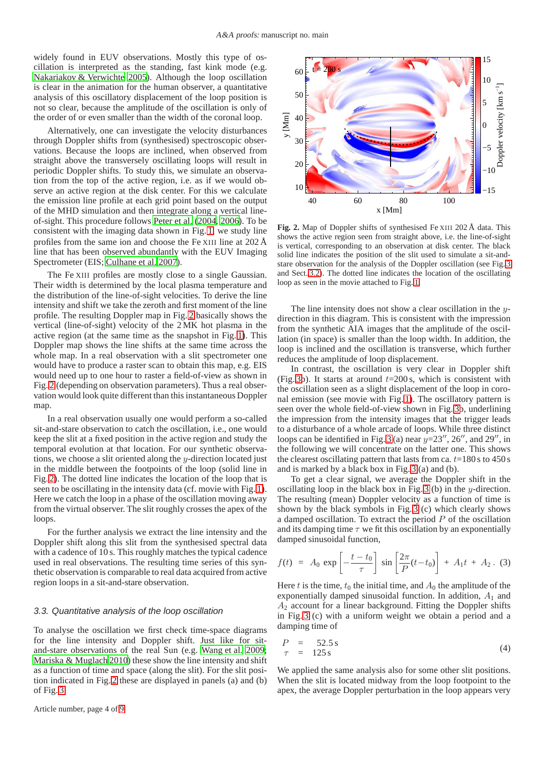widely found in EUV observations. Mostly this type of oscillation is interpreted as the standing, fast kink mode (e.g. [Nakariakov & Verwichte 2005\)](#page-8-1). Although the loop oscillation is clear in the animation for the human observer, a quantitative analysis of this oscillatory displacement of the loop position is not so clear, because the amplitude of the oscillation is only of the order of or even smaller than the width of the coronal loop.

Alternatively, one can investigate the velocity disturbances through Doppler shifts from (synthesised) spectroscopic observations. Because the loops are inclined, when observed from straight above the transversely oscillating loops will result in periodic Doppler shifts. To study this, we simulate an observation from the top of the active region, i.e. as if we would observe an active region at the disk center. For this we calculate the emission line profile at each grid point based on the output of the MHD simulation and then integrate along a vertical lineof-sight. This procedure follows [Peter et al. \(2004,](#page-8-55) [2006](#page-8-56)). To be consistent with the imaging data shown in Fig. [1,](#page-2-0) we study line profiles from the same ion and choose the Fe XIII line at 202 Å line that has been observed abundantly with the EUV Imaging Spectrometer (EIS; [Culhane et al. 2007\)](#page-8-57).

The Fe XIII profiles are mostly close to a single Gaussian. Their width is determined by the local plasma temperature and the distribution of the line-of-sight velocities. To derive the line intensity and shift we take the zeroth and first moment of the line profile. The resulting Doppler map in Fig. [2](#page-3-1) basically shows the vertical (line-of-sight) velocity of the 2 MK hot plasma in the active region (at the same time as the snapshot in Fig. [1\)](#page-2-0). This Doppler map shows the line shifts at the same time across the whole map. In a real observation with a slit spectrometer one would have to produce a raster scan to obtain this map, e.g. EIS would need up to one hour to raster a field-of-view as shown in Fig. [2](#page-3-1) (depending on observation parameters). Thus a real observation would look quite different than this instantaneous Doppler map.

In a real observation usually one would perform a so-called sit-and-stare observation to catch the oscillation, i.e., one would keep the slit at a fixed position in the active region and study the temporal evolution at that location. For our synthetic observations, we choose a slit oriented along the y-direction located just in the middle between the footpoints of the loop (solid line in Fig. [2\)](#page-3-1). The dotted line indicates the location of the loop that is seen to be oscillating in the intensity data (cf. movie with Fig. [1\)](#page-2-0). Here we catch the loop in a phase of the oscillation moving away from the virtual observer. The slit roughly crosses the apex of the loops.

For the further analysis we extract the line intensity and the Doppler shift along this slit from the synthesised spectral data with a cadence of 10 s. This roughly matches the typical cadence used in real observations. The resulting time series of this synthetic observation is comparable to real data acquired from active region loops in a sit-and-stare observation.

#### <span id="page-3-0"></span>3.3. Quantitative analysis of the loop oscillation

To analyse the oscillation we first check time-space diagrams for the line intensity and Doppler shift. Just like for sitand-stare observations of the real Sun (e.g. [Wang et al. 2009](#page-8-58); [Mariska & Muglach 2010\)](#page-8-21) these show the line intensity and shift as a function of time and space (along the slit). For the slit position indicated in Fig. [2](#page-3-1) these are displayed in panels (a) and (b) of Fig. [3.](#page-4-0)

Article number, page 4 of 9



<span id="page-3-1"></span>**Fig. 2.** Map of Doppler shifts of synthesised Fe XIII 202 Å data. This shows the active region seen from straight above, i.e. the line-of-sight is vertical, corresponding to an observation at disk center. The black solid line indicates the position of the slit used to simulate a sit-andstare observation for the analysis of the Doppler oscillation (see Fig. [3](#page-4-0) and Sect. [3.2\)](#page-2-2). The dotted line indicates the location of the oscillating loop as seen in the movie attached to Fig. [1.](#page-2-0)

The line intensity does not show a clear oscillation in the ydirection in this diagram. This is consistent with the impression from the synthetic AIA images that the amplitude of the oscillation (in space) is smaller than the loop width. In addition, the loop is inclined and the oscillation is transverse, which further reduces the amplitude of loop displacement.

In contrast, the oscillation is very clear in Doppler shift (Fig. [3b](#page-4-0)). It starts at around  $t=200$  s, which is consistent with the oscillation seen as a slight displacement of the loop in coronal emission (see movie with Fig. [1\)](#page-2-0). The oscillatory pattern is seen over the whole field-of-view shown in Fig. [3b](#page-4-0), underlining the impression from the intensity images that the trigger leads to a disturbance of a whole arcade of loops. While three distinct loops can be identified in Fig. [3](#page-4-0) (a) near  $y=23''$ , 26'', and 29'', in the following we will concentrate on the latter one. This shows the clearest oscillating pattern that lasts from ca.  $t=180$  s to 450 s and is marked by a black box in Fig. [3](#page-4-0) (a) and (b).

To get a clear signal, we average the Doppler shift in the oscillating loop in the black box in Fig. [3](#page-4-0) (b) in the y-direction. The resulting (mean) Doppler velocity as a function of time is shown by the black symbols in Fig. [3](#page-4-0) (c) which clearly shows a damped oscillation. To extract the period  $P$  of the oscillation and its damping time  $\tau$  we fit this oscillation by an exponentially damped sinusoidal function,

<span id="page-3-2"></span>
$$
f(t) = A_0 \exp\left[-\frac{t-t_0}{\tau}\right] \sin\left[\frac{2\pi}{P}(t-t_0)\right] + A_1 t + A_2. (3)
$$

Here t is the time,  $t_0$  the initial time, and  $A_0$  the amplitude of the exponentially damped sinusoidal function. In addition,  $A_1$  and  $A<sub>2</sub>$  account for a linear background. Fitting the Doppler shifts in Fig. [3](#page-4-0) (c) with a uniform weight we obtain a period and a damping time of

<span id="page-3-3"></span>
$$
\begin{array}{rcl}\nP & = & 52.5 \,\text{s} \\
\tau & = & 125 \,\text{s}\n\end{array}\n\tag{4}
$$

We applied the same analysis also for some other slit positions. When the slit is located midway from the loop footpoint to the apex, the average Doppler perturbation in the loop appears very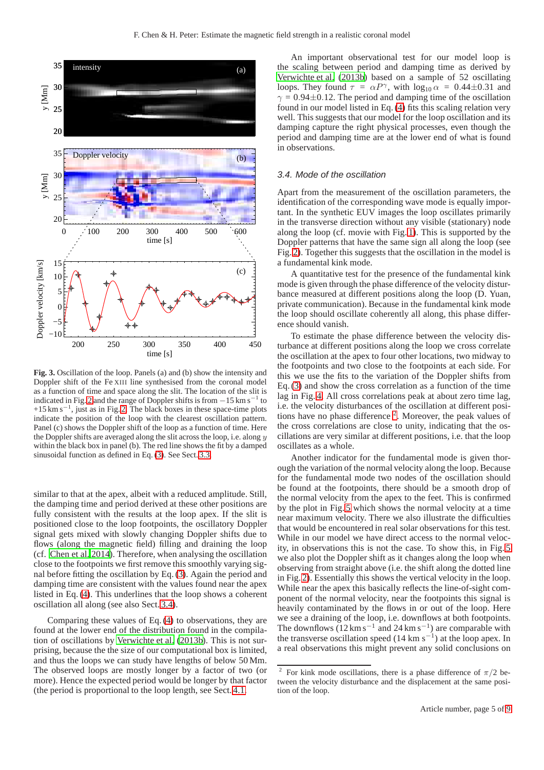

<span id="page-4-0"></span>**Fig. 3.** Oscillation of the loop. Panels (a) and (b) show the intensity and Doppler shift of the Fe XIII line synthesised from the coronal model as a function of time and space along the slit. The location of the slit is indicated in Fig. [2](#page-3-1) and the range of Doppler shifts is from  $-15 \text{ km s}^$ to  $+15 \text{ km s}^{-1}$ , just as in Fig. [2.](#page-3-1) The black boxes in these space-time plots indicate the position of the loop with the clearest oscillation pattern. Panel (c) shows the Doppler shift of the loop as a function of time. Here the Doppler shifts are averaged along the slit across the loop, i.e. along  $y$ within the black box in panel (b). The red line shows the fit by a damped sinusoidal function as defined in Eq. [\(3\)](#page-3-2). See Sect. [3.3.](#page-3-0)

similar to that at the apex, albeit with a reduced amplitude. Still, the damping time and period derived at these other positions are fully consistent with the results at the loop apex. If the slit is positioned close to the loop footpoints, the oscillatory Doppler signal gets mixed with slowly changing Doppler shifts due to flows (along the magnetic field) filling and draining the loop (cf. [Chen et al. 2014\)](#page-8-46). Therefore, when analysing the oscillation close to the footpoints we first remove this smoothly varying signal before fitting the oscillation by Eq. [\(3\)](#page-3-2). Again the period and damping time are consistent with the values found near the apex listed in Eq. [\(4\)](#page-3-3). This underlines that the loop shows a coherent oscillation all along (see also Sect. [3.4\)](#page-4-1).

Comparing these values of Eq. [\(4\)](#page-3-3) to observations, they are found at the lower end of the distribution found in the compilation of oscillations by [Verwichte et al.](#page-8-13) [\(2013b\)](#page-8-13). This is not surprising, because the the size of our computational box is limited, and thus the loops we can study have lengths of below 50 Mm. The observed loops are mostly longer by a factor of two (or more). Hence the expected period would be longer by that factor (the period is proportional to the loop length, see Sect. [4.1.](#page-5-0)

An important observational test for our model loop is the scaling between period and damping time as derived by [Verwichte et al. \(2013b\)](#page-8-13) based on a sample of 52 oscillating loops. They found  $\tau = \alpha P^{\gamma}$ , with  $\log_{10} \alpha = 0.44 \pm 0.31$  and  $\gamma = 0.94 \pm 0.12$ . The period and damping time of the oscillation found in our model listed in Eq. [\(4\)](#page-3-3) fits this scaling relation very well. This suggests that our model for the loop oscillation and its damping capture the right physical processes, even though the period and damping time are at the lower end of what is found in observations.

#### <span id="page-4-1"></span>3.4. Mode of the oscillation

Apart from the measurement of the oscillation parameters, the identification of the corresponding wave mode is equally important. In the synthetic EUV images the loop oscillates primarily in the transverse direction without any visible (stationary) node along the loop (cf. movie with Fig. [1\)](#page-2-0). This is supported by the Doppler patterns that have the same sign all along the loop (see Fig. [2\)](#page-3-1). Together this suggests that the oscillation in the model is a fundamental kink mode.

A quantitative test for the presence of the fundamental kink mode is given through the phase difference of the velocity disturbance measured at different positions along the loop (D. Yuan, private communication). Because in the fundamental kink mode the loop should oscillate coherently all along, this phase difference should vanish.

To estimate the phase difference between the velocity disturbance at different positions along the loop we cross correlate the oscillation at the apex to four other locations, two midway to the footpoints and two close to the footpoints at each side. For this we use the fits to the variation of the Doppler shifts from Eq. [\(3\)](#page-3-2) and show the cross correlation as a function of the time lag in Fig. [4.](#page-5-1) All cross correlations peak at about zero time lag, i.e. the velocity disturbances of the oscillation at different posi-tions have no phase difference <sup>[2](#page-4-2)</sup>. Moreover, the peak values of the cross correlations are close to unity, indicating that the oscillations are very similar at different positions, i.e. that the loop oscillates as a whole.

Another indicator for the fundamental mode is given thorough the variation of the normal velocity along the loop. Because for the fundamental mode two nodes of the oscillation should be found at the footpoints, there should be a smooth drop of the normal velocity from the apex to the feet. This is confirmed by the plot in Fig. [5](#page-5-2) which shows the normal velocity at a time near maximum velocity. There we also illustrate the difficulties that would be encountered in real solar observations for this test. While in our model we have direct access to the normal velocity, in observations this is not the case. To show this, in Fig. [5](#page-5-2) we also plot the Doppler shift as it changes along the loop when observing from straight above (i.e. the shift along the dotted line in Fig. [2\)](#page-3-1). Essentially this shows the vertical velocity in the loop. While near the apex this basically reflects the line-of-sight component of the normal velocity, near the footpoints this signal is heavily contaminated by the flows in or out of the loop. Here we see a draining of the loop, i.e. downflows at both footpoints. The downflows  $(12 \text{ km s}^{-1} \text{ and } 24 \text{ km s}^{-1})$  are comparable with the transverse oscillation speed  $(14 \text{ km s}^{-1})$  at the loop apex. In a real observations this might prevent any solid conclusions on

<span id="page-4-2"></span><sup>2</sup> For kink mode oscillations, there is a phase difference of  $\pi/2$  between the velocity disturbance and the displacement at the same position of the loop.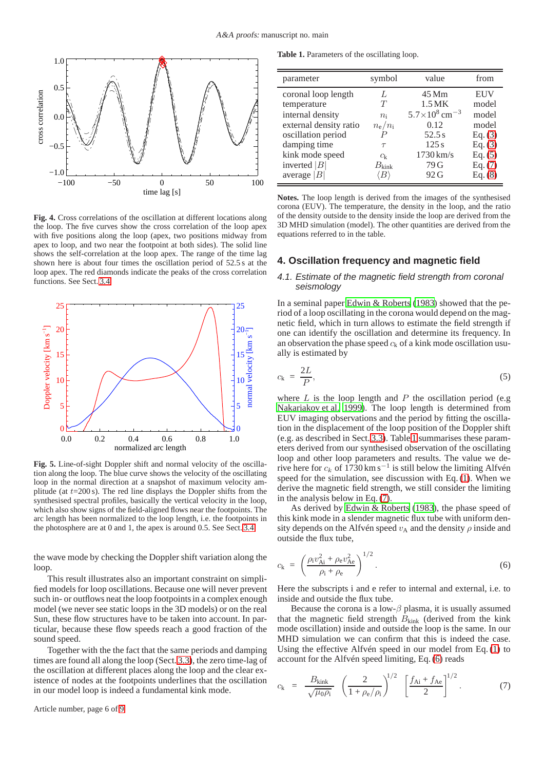

<span id="page-5-1"></span>**Fig. 4.** Cross correlations of the oscillation at different locations along the loop. The five curves show the cross correlation of the loop apex with five positions along the loop (apex, two positions midway from apex to loop, and two near the footpoint at both sides). The solid line shows the self-correlation at the loop apex. The range of the time lag shown here is about four times the oscillation period of 52.5 s at the loop apex. The red diamonds indicate the peaks of the cross correlation functions. See Sect. [3.4.](#page-4-1)



<span id="page-5-2"></span>**Fig. 5.** Line-of-sight Doppler shift and normal velocity of the oscillation along the loop. The blue curve shows the velocity of the oscillating loop in the normal direction at a snapshot of maximum velocity amplitude (at  $t=200$  s). The red line displays the Doppler shifts from the synthesised spectral profiles, basically the vertical velocity in the loop, which also show signs of the field-aligned flows near the footpoints. The arc length has been normalized to the loop length, i.e. the footpoints in the photosphere are at 0 and 1, the apex is around 0.5. See Sect. [3.4.](#page-4-1)

the wave mode by checking the Doppler shift variation along the loop.

This result illustrates also an important constraint on simplified models for loop oscillations. Because one will never prevent such in- or outflows neat the loop footpoints in a complex enough model (we never see static loops in the 3D models) or on the real Sun, these flow structures have to be taken into account. In particular, because these flow speeds reach a good fraction of the sound speed.

Together with the the fact that the same periods and damping times are found all along the loop (Sect. [3.3\)](#page-3-0), the zero time-lag of the oscillation at different places along the loop and the clear existence of nodes at the footpoints underlines that the oscillation in our model loop is indeed a fundamental kink mode.

Article number, page 6 of 9

<span id="page-5-5"></span>**Table 1.** Parameters of the oscillating loop.

| parameter              | symbol                | value                              | from       |
|------------------------|-----------------------|------------------------------------|------------|
| coronal loop length    | $\mathcal{L}$         | 45 Mm                              | <b>EUV</b> |
| temperature            | T                     | 1.5 MK                             | model      |
| internal density       | $n_i$                 | $5.7\times10^{8}$ cm <sup>-3</sup> | model      |
| external density ratio | $n_{\rm e}/n_{\rm i}$ | 0.12                               | model      |
| oscillation period     |                       | 52.5s                              | Eq. (3)    |
| damping time           | $\tau$                | 125s                               | Eq. (3)    |
| kink mode speed        | $c_{k}$               | $1730 \,\mathrm{km/s}$             | Eq. (5)    |
| inverted $ B $         | $B_{\text{kink}}$     | 79 G                               | Eq. (7)    |
| average $ B $          |                       | 92G                                | Eq. (8)    |

**Notes.** The loop length is derived from the images of the synthesised corona (EUV). The temperature, the density in the loop, and the ratio of the density outside to the density inside the loop are derived from the 3D MHD simulation (model). The other quantities are derived from the equations referred to in the table.

## <span id="page-5-0"></span>**4. Oscillation frequency and magnetic field**

#### 4.1. Estimate of the magnetic field strength from coronal seismology

In a seminal paper [Edwin & Roberts \(1983\)](#page-8-59) showed that the period of a loop oscillating in the corona would depend on the magnetic field, which in turn allows to estimate the field strength if one can identify the oscillation and determine its frequency. In an observation the phase speed  $c_k$  of a kink mode oscillation usually is estimated by

<span id="page-5-3"></span>
$$
c_{k} = \frac{2L}{P},\tag{5}
$$

where  $L$  is the loop length and  $P$  the oscillation period (e.g. [Nakariakov et al. 1999\)](#page-8-0). The loop length is determined from EUV imaging observations and the period by fitting the oscillation in the displacement of the loop position of the Doppler shift (e.g. as described in Sect. [3.3\)](#page-3-0). Table [1](#page-5-5) summarises these parameters derived from our synthesised observation of the oscillating loop and other loop parameters and results. The value we derive here for  $c_k$  of 1730 km s<sup>-1</sup> is still below the limiting Alfvén speed for the simulation, see discussion with Eq. [\(1\)](#page-1-1). When we derive the magnetic field strength, we still consider the limiting in the analysis below in Eq. [\(7\)](#page-5-4).

As derived by [Edwin & Roberts \(1983](#page-8-59)), the phase speed of this kink mode in a slender magnetic flux tube with uniform density depends on the Alfvén speed  $v_A$  and the density  $\rho$  inside and outside the flux tube,

<span id="page-5-6"></span>
$$
c_{k} = \left(\frac{\rho_{i}v_{Ai}^{2} + \rho_{e}v_{Ae}^{2}}{\rho_{i} + \rho_{e}}\right)^{1/2}.
$$
 (6)

Here the subscripts i and e refer to internal and external, i.e. to inside and outside the flux tube.

Because the corona is a low- $\beta$  plasma, it is usually assumed that the magnetic field strength  $B_{\text{kink}}$  (derived from the kink mode oscillation) inside and outside the loop is the same. In our MHD simulation we can confirm that this is indeed the case. Using the effective Alfvén speed in our model from Eq. [\(1\)](#page-1-1) to account for the Alfvén speed limiting, Eq. [\(6\)](#page-5-6) reads

<span id="page-5-4"></span>
$$
c_{k} = \frac{B_{\text{kink}}}{\sqrt{\mu_{0}\rho_{i}}} \left(\frac{2}{1+\rho_{e}/\rho_{i}}\right)^{1/2} \left[\frac{f_{\text{Ai}}+f_{\text{Ae}}}{2}\right]^{1/2}.
$$
 (7)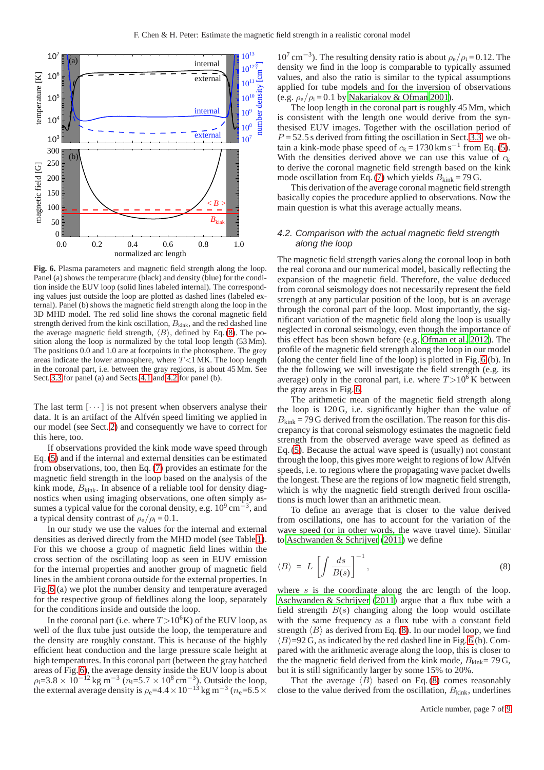

<span id="page-6-2"></span>**Fig. 6.** Plasma parameters and magnetic field strength along the loop. Panel (a) shows the temperature (black) and density (blue) for the condition inside the EUV loop (solid lines labeled internal). The corresponding values just outside the loop are plotted as dashed lines (labeled external). Panel (b) shows the magnetic field strength along the loop in the 3D MHD model. The red solid line shows the coronal magnetic field strength derived from the kink oscillation,  $B_{\text{kink}}$ , and the red dashed line the average magnetic field strength,  $\langle B \rangle$ , defined by Eq. [\(8\)](#page-6-0). The position along the loop is normalized by the total loop length (53 Mm). The positions 0.0 and 1.0 are at footpoints in the photosphere. The grey areas indicate the lower atmosphere, where  $T$ <1 MK. The loop length in the coronal part, i.e. between the gray regions, is about 45 Mm. See Sect. [3.3](#page-3-0) for panel (a) and Sects. [4.1](#page-5-0) and [4.2](#page-6-1) for panel (b).

The last term  $[\cdots]$  is not present when observers analyse their data. It is an artifact of the Alfvén speed limiting we applied in our model (see Sect. [2\)](#page-1-2) and consequently we have to correct for this here, too.

If observations provided the kink mode wave speed through Eq. [\(5\)](#page-5-3) and if the internal and external densities can be estimated from observations, too, then Eq. [\(7\)](#page-5-4) provides an estimate for the magnetic field strength in the loop based on the analysis of the kink mode,  $B_{\text{kink}}$ . In absence of a reliable tool for density diagnostics when using imaging observations, one often simply assumes a typical value for the coronal density, e.g.  $10^9 \text{ cm}^{-3}$ , and a typical density contrast of  $\rho_e/\rho_i = 0.1$ .

In our study we use the values for the internal and external densities as derived directly from the MHD model (see Table [1\)](#page-5-5). For this we choose a group of magnetic field lines within the cross section of the oscillating loop as seen in EUV emission for the internal properties and another group of magnetic field lines in the ambient corona outside for the external properties. In Fig. [6](#page-6-2) (a) we plot the number density and temperature averaged for the respective group of fieldlines along the loop, separately for the conditions inside and outside the loop.

In the coronal part (i.e. where  $T > 10^6$ K) of the EUV loop, as well of the flux tube just outside the loop, the temperature and the density are roughly constant. This is because of the highly efficient heat conduction and the large pressure scale height at high temperatures. In this coronal part (between the gray hatched areas of Fig. [6\)](#page-6-2), the average density inside the EUV loop is about  $\rho_1 = 3.8 \times 10^{-12}$  kg m<sup>-3</sup> (n<sub>i</sub>=5.7 × 10<sup>8</sup> cm<sup>-3</sup>). Outside the loop, the external average density is  $\rho_e = 4.4 \times 10^{-13}$  kg m<sup>-3</sup> ( $n_e = 6.5 \times$ 

 $10^7 \text{ cm}^{-3}$ ). The resulting density ratio is about  $\rho_e/\rho_i = 0.12$ . The density we find in the loop is comparable to typically assumed values, and also the ratio is similar to the typical assumptions applied for tube models and for the inversion of observations (e.g.  $\rho_e/\rho_i = 0.1$  by [Nakariakov & Ofman 2001\)](#page-8-10).

The loop length in the coronal part is roughly 45 Mm, which is consistent with the length one would derive from the synthesised EUV images. Together with the oscillation period of  $P = 52.5$  s derived from fitting the oscillation in Sect. [3.3,](#page-3-0) we obtain a kink-mode phase speed of  $c_k = 1730 \text{ km s}^{-1}$  from Eq. [\(5\)](#page-5-3). With the densities derived above we can use this value of  $c_k$ to derive the coronal magnetic field strength based on the kink mode oscillation from Eq. [\(7\)](#page-5-4) which yields  $B_{\text{kink}} = 79$  G.

This derivation of the average coronal magnetic field strength basically copies the procedure applied to observations. Now the main question is what this average actually means.

#### <span id="page-6-1"></span>4.2. Comparison with the actual magnetic field strength along the loop

The magnetic field strength varies along the coronal loop in both the real corona and our numerical model, basically reflecting the expansion of the magnetic field. Therefore, the value deduced from coronal seismology does not necessarily represent the field strength at any particular position of the loop, but is an average through the coronal part of the loop. Most importantly, the significant variation of the magnetic field along the loop is usually neglected in coronal seismology, even though the importance of this effect has been shown before (e.g. [Ofman et al. 2012](#page-8-34)). The profile of the magnetic field strength along the loop in our model (along the center field line of the loop) is plotted in Fig. [6](#page-6-2) (b). In the the following we will investigate the field strength (e.g. its average) only in the coronal part, i.e. where  $T > 10^6$  K between the gray areas in Fig. [6.](#page-6-2)

The arithmetic mean of the magnetic field strength along the loop is 120 G, i.e. significantly higher than the value of  $B_{\text{kink}}$  = 79 G derived from the oscillation. The reason for this discrepancy is that coronal seismology estimates the magnetic field strength from the observed average wave speed as defined as Eq. [\(5\)](#page-5-3). Because the actual wave speed is (usually) not constant through the loop, this gives more weight to regions of low Alfvén speeds, i.e. to regions where the propagating wave packet dwells the longest. These are the regions of low magnetic field strength, which is why the magnetic field strength derived from oscillations is much lower than an arithmetic mean.

To define an average that is closer to the value derived from oscillations, one has to account for the variation of the wave speed (or in other words, the wave travel time). Similar to [Aschwanden & Schrijver \(2011\)](#page-8-11) we define

<span id="page-6-0"></span>
$$
\langle B \rangle = L \left[ \int \frac{ds}{B(s)} \right]^{-1},\tag{8}
$$

where  $s$  is the coordinate along the arc length of the loop. [Aschwanden & Schrijver \(2011](#page-8-11)) argue that a flux tube with a field strength  $B(s)$  changing along the loop would oscillate with the same frequency as a flux tube with a constant field strength  $\langle B \rangle$  as derived from Eq. [\(8\)](#page-6-0). In our model loop, we find  $\langle B \rangle$ =92 G, as indicated by the red dashed line in Fig. [6](#page-6-2) (b). Compared with the arithmetic average along the loop, this is closer to the the magnetic field derived from the kink mode,  $B_{\text{kink}}= 79 \text{ G}$ , but it is still significantly larger by some 15% to 20%.

That the average  $\langle B \rangle$  based on Eq. [\(8\)](#page-6-0) comes reasonably close to the value derived from the oscillation,  $B_{\text{kink}}$ , underlines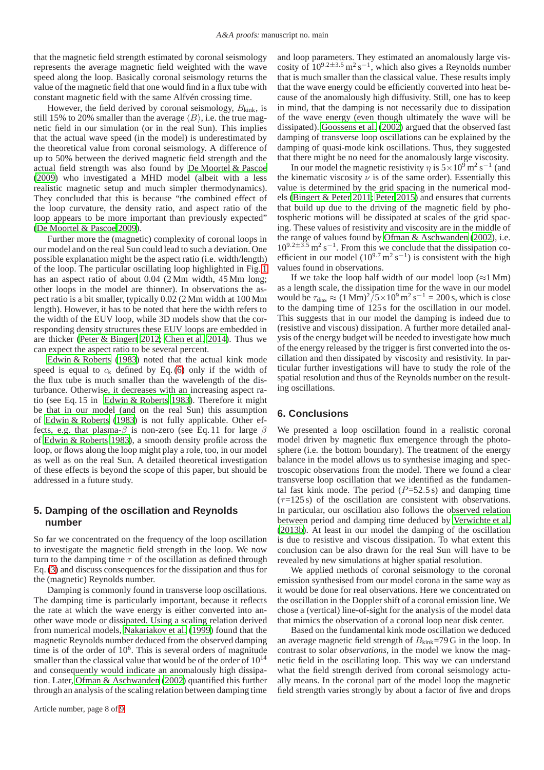that the magnetic field strength estimated by coronal seismology represents the average magnetic field weighted with the wave speed along the loop. Basically coronal seismology returns the value of the magnetic field that one would find in a flux tube with constant magnetic field with the same Alfvén crossing time.

However, the field derived by coronal seismology,  $B_{\text{kink}}$ , is still 15% to 20% smaller than the average  $\langle B \rangle$ , i.e. the true magnetic field in our simulation (or in the real Sun). This implies that the actual wave speed (in the model) is underestimated by the theoretical value from coronal seismology. A difference of up to 50% between the derived magnetic field strength and the actual field strength was also found by [De Moortel & Pascoe](#page-8-32) [\(2009](#page-8-32)) who investigated a MHD model (albeit with a less realistic magnetic setup and much simpler thermodynamics). They concluded that this is because "the combined effect of the loop curvature, the density ratio, and aspect ratio of the loop appears to be more important than previously expected" [\(De Moortel & Pascoe 2009](#page-8-32)).

Further more the (magnetic) complexity of coronal loops in our model and on the real Sun could lead to such a deviation. One possible explanation might be the aspect ratio (i.e. width/length) of the loop. The particular oscillating loop highlighted in Fig. [1](#page-2-0) has an aspect ratio of about 0.04 (2 Mm width, 45 Mm long; other loops in the model are thinner). In observations the aspect ratio is a bit smaller, typically 0.02 (2 Mm width at 100 Mm length). However, it has to be noted that here the width refers to the width of the EUV loop, while 3D models show that the corresponding density structures these EUV loops are embedded in are thicker [\(Peter & Bingert 2012](#page-8-44); [Chen et al. 2014](#page-8-46)). Thus we can expect the aspect ratio to be several percent.

[Edwin & Roberts \(1983\)](#page-8-59) noted that the actual kink mode speed is equal to  $c_k$  defined by Eq. [\(6\)](#page-5-6) only if the width of the flux tube is much smaller than the wavelength of the disturbance. Otherwise, it decreases with an increasing aspect ratio (see Eq. 15 in [Edwin & Roberts 1983\)](#page-8-59). Therefore it might be that in our model (and on the real Sun) this assumption of [Edwin & Roberts \(1983\)](#page-8-59) is not fully applicable. Other effects, e.g. that plasma- $\beta$  is non-zero (see Eq. 11 for large  $\beta$ of [Edwin & Roberts 1983](#page-8-59)), a smooth density profile across the loop, or flows along the loop might play a role, too, in our model as well as on the real Sun. A detailed theoretical investigation of these effects is beyond the scope of this paper, but should be addressed in a future study.

# **5. Damping of the oscillation and Reynolds number**

So far we concentrated on the frequency of the loop oscillation to investigate the magnetic field strength in the loop. We now turn to the damping time  $\tau$  of the oscillation as defined through Eq. [\(3\)](#page-3-2) and discuss consequences for the dissipation and thus for the (magnetic) Reynolds number.

Damping is commonly found in transverse loop oscillations. The damping time is particularly important, because it reflects the rate at which the wave energy is either converted into another wave mode or dissipated. Using a scaling relation derived from numerical models, [Nakariakov et al. \(1999\)](#page-8-0) found that the magnetic Reynolds number deduced from the observed damping time is of the order of 10<sup>6</sup>. This is several orders of magnitude smaller than the classical value that would be of the order of  $10^{14}$ and consequently would indicate an anomalously high dissipation. Later, [Ofman & Aschwanden \(2002](#page-8-60)) quantified this further through an analysis of the scaling relation between damping time and loop parameters. They estimated an anomalously large viscosity of  $10^{9.2 \pm 3.5}$  m<sup>2</sup> s<sup>-1</sup>, which also gives a Reynolds number that is much smaller than the classical value. These results imply that the wave energy could be efficiently converted into heat because of the anomalously high diffusivity. Still, one has to keep in mind, that the damping is not necessarily due to dissipation of the wave energy (even though ultimately the wave will be dissipated). [Goossens et al.](#page-8-61) [\(2002\)](#page-8-61) argued that the observed fast damping of transverse loop oscillations can be explained by the damping of quasi-mode kink oscillations. Thus, they suggested that there might be no need for the anomalously large viscosity.

In our model the magnetic resistivity  $\eta$  is  $5 \times 10^9$  m<sup>2</sup> s<sup>-1</sup> (and the kinematic viscosity  $\nu$  is of the same order). Essentially this value is determined by the grid spacing in the numerical models [\(Bingert & Peter 2011;](#page-8-39) [Peter 2015\)](#page-8-40) and ensures that currents that build up due to the driving of the magnetic field by photospheric motions will be dissipated at scales of the grid spacing. These values of resistivity and viscosity are in the middle of the range of values found by [Ofman & Aschwanden \(2002\)](#page-8-60), i.e.  $10^{9.2 \pm 3.5}$  m<sup>2</sup> s<sup>-1</sup>. From this we conclude that the dissipation coefficient in our model  $(10^{9.7} \text{ m}^2 \text{ s}^{-1})$  is consistent with the high values found in observations.

If we take the loop half width of our model loop ( $\approx$ 1 Mm) as a length scale, the dissipation time for the wave in our model would be  $\tau_{\text{diss}} \approx (1 \text{ Mm})^2 / 5 \times 10^9 \text{ m}^2 \text{ s}^{-1} = 200 \text{ s}$ , which is close to the damping time of 125 s for the oscillation in our model. This suggests that in our model the damping is indeed due to (resistive and viscous) dissipation. A further more detailed analysis of the energy budget will be needed to investigate how much of the energy released by the trigger is first converted into the oscillation and then dissipated by viscosity and resistivity. In particular further investigations will have to study the role of the spatial resolution and thus of the Reynolds number on the resulting oscillations.

## **6. Conclusions**

We presented a loop oscillation found in a realistic coronal model driven by magnetic flux emergence through the photosphere (i.e. the bottom boundary). The treatment of the energy balance in the model allows us to synthesise imaging and spectroscopic observations from the model. There we found a clear transverse loop oscillation that we identified as the fundamental fast kink mode. The period  $(P=52.5 s)$  and damping time  $(\tau=125 \text{ s})$  of the oscillation are consistent with observations. In particular, our oscillation also follows the observed relation between period and damping time deduced by [Verwichte et al.](#page-8-13) [\(2013b\)](#page-8-13). At least in our model the damping of the oscillation is due to resistive and viscous dissipation. To what extent this conclusion can be also drawn for the real Sun will have to be revealed by new simulations at higher spatial resolution.

We applied methods of coronal seismology to the coronal emission synthesised from our model corona in the same way as it would be done for real observations. Here we concentrated on the oscillation in the Doppler shift of a coronal emission line. We chose a (vertical) line-of-sight for the analysis of the model data that mimics the observation of a coronal loop near disk center.

Based on the fundamental kink mode oscillation we deduced an average magnetic field strength of  $B_{\text{kink}}$ =79 G in the loop. In contrast to solar *observations*, in the model we know the magnetic field in the oscillating loop. This way we can understand what the field strength derived from coronal seismology actually means. In the coronal part of the model loop the magnetic field strength varies strongly by about a factor of five and drops